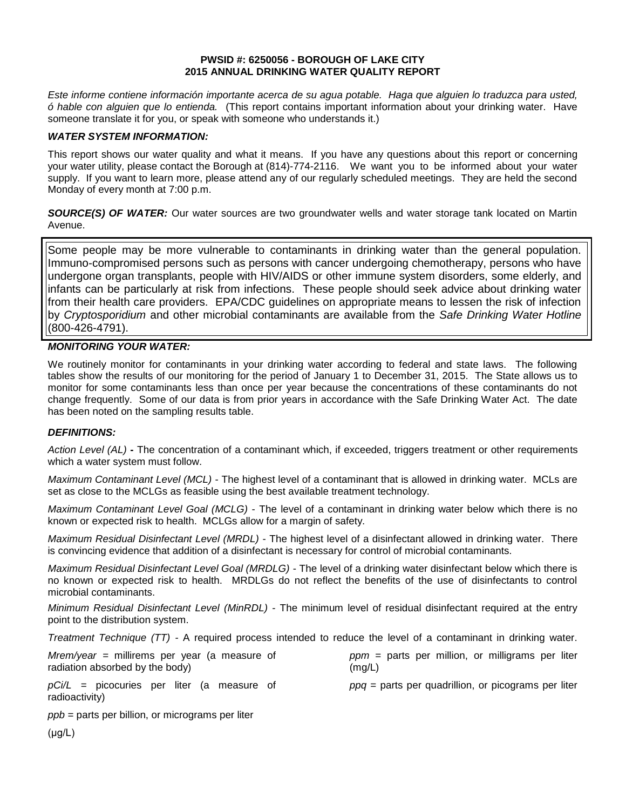#### **PWSID #: 6250056 - BOROUGH OF LAKE CITY 2015 ANNUAL DRINKING WATER QUALITY REPORT**

*Este informe contiene información importante acerca de su agua potable. Haga que alguien lo traduzca para usted, ó hable con alguien que lo entienda.* (This report contains important information about your drinking water. Have someone translate it for you, or speak with someone who understands it.)

### *WATER SYSTEM INFORMATION:*

This report shows our water quality and what it means. If you have any questions about this report or concerning your water utility, please contact the Borough at (814)-774-2116.We want you to be informed about your water supply. If you want to learn more, please attend any of our regularly scheduled meetings. They are held the second Monday of every month at 7:00 p.m.

**SOURCE(S) OF WATER:** Our water sources are two groundwater wells and water storage tank located on Martin Avenue.

Some people may be more vulnerable to contaminants in drinking water than the general population. Immuno-compromised persons such as persons with cancer undergoing chemotherapy, persons who have undergone organ transplants, people with HIV/AIDS or other immune system disorders, some elderly, and infants can be particularly at risk from infections. These people should seek advice about drinking water from their health care providers. EPA/CDC guidelines on appropriate means to lessen the risk of infection by *Cryptosporidium* and other microbial contaminants are available from the *Safe Drinking Water Hotline* (800-426-4791).

## *MONITORING YOUR WATER:*

We routinely monitor for contaminants in your drinking water according to federal and state laws. The following tables show the results of our monitoring for the period of January 1 to December 31, 2015. The State allows us to monitor for some contaminants less than once per year because the concentrations of these contaminants do not change frequently. Some of our data is from prior years in accordance with the Safe Drinking Water Act. The date has been noted on the sampling results table.

## *DEFINITIONS:*

*Action Level (AL)* **-** The concentration of a contaminant which, if exceeded, triggers treatment or other requirements which a water system must follow.

*Maximum Contaminant Level (MCL)* - The highest level of a contaminant that is allowed in drinking water. MCLs are set as close to the MCLGs as feasible using the best available treatment technology.

*Maximum Contaminant Level Goal (MCLG)* - The level of a contaminant in drinking water below which there is no known or expected risk to health. MCLGs allow for a margin of safety.

*Maximum Residual Disinfectant Level (MRDL)* - The highest level of a disinfectant allowed in drinking water. There is convincing evidence that addition of a disinfectant is necessary for control of microbial contaminants.

*Maximum Residual Disinfectant Level Goal (MRDLG)* - The level of a drinking water disinfectant below which there is no known or expected risk to health. MRDLGs do not reflect the benefits of the use of disinfectants to control microbial contaminants.

*Minimum Residual Disinfectant Level (MinRDL) -* The minimum level of residual disinfectant required at the entry point to the distribution system.

*Treatment Technique (TT) -* A required process intended to reduce the level of a contaminant in drinking water.

| $Mrem/year = millirems per year (a measure of$                 | $ppm =$ parts per million, or milligrams per liter    |
|----------------------------------------------------------------|-------------------------------------------------------|
| radiation absorbed by the body)                                | (mg/L)                                                |
| $pCi/L$ = picocuries per liter (a measure of<br>radioactivity) | $ppq$ = parts per quadrillion, or picograms per liter |

*ppb* = parts per billion, or micrograms per liter

(μg/L)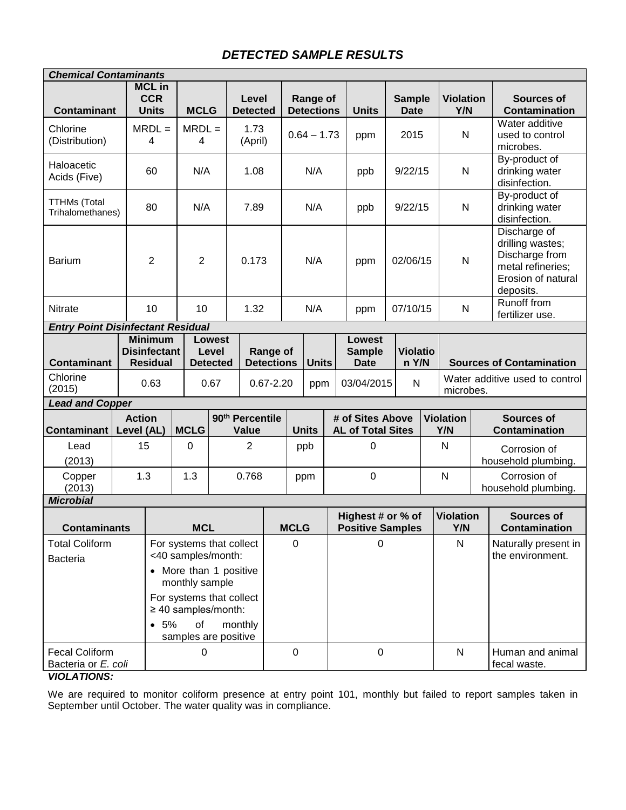# *DETECTED SAMPLE RESULTS*

| <b>Chemical Contaminants</b>                                            |                             |                                                                                                |                                                                                                                                                                                  |                               |                          |                 |                               |               |                                               |                                              |                              |                           |                         |                                          |                                                                                                            |                                                |
|-------------------------------------------------------------------------|-----------------------------|------------------------------------------------------------------------------------------------|----------------------------------------------------------------------------------------------------------------------------------------------------------------------------------|-------------------------------|--------------------------|-----------------|-------------------------------|---------------|-----------------------------------------------|----------------------------------------------|------------------------------|---------------------------|-------------------------|------------------------------------------|------------------------------------------------------------------------------------------------------------|------------------------------------------------|
| <b>Contaminant</b>                                                      |                             | <b>MCL in</b><br><b>CCR</b><br><b>Units</b>                                                    | <b>MCLG</b>                                                                                                                                                                      |                               | Level<br><b>Detected</b> |                 | Range of<br><b>Detections</b> |               |                                               | <b>Units</b>                                 | <b>Sample</b><br><b>Date</b> |                           |                         | <b>Violation</b><br>Y/N                  |                                                                                                            | <b>Sources of</b><br><b>Contamination</b>      |
| Chlorine<br>(Distribution)                                              |                             | $MRDL =$<br>$\overline{4}$                                                                     | 4                                                                                                                                                                                | $MRDL =$                      |                          | 1.73<br>(April) |                               | $0.64 - 1.73$ |                                               | ppm                                          | 2015                         |                           |                         | ${\sf N}$                                |                                                                                                            | Water additive<br>used to control<br>microbes. |
| Haloacetic<br>Acids (Five)                                              |                             | N/A<br>60                                                                                      |                                                                                                                                                                                  | 1.08                          |                          | N/A             |                               |               | ppb                                           | 9/22/15                                      |                              |                           | N                       |                                          | By-product of<br>drinking water<br>disinfection.                                                           |                                                |
| <b>TTHMs (Total</b><br>Trihalomethanes)                                 |                             | N/A<br>80                                                                                      |                                                                                                                                                                                  |                               | 7.89                     |                 | N/A                           |               | ppb                                           | 9/22/15                                      |                              |                           | ${\sf N}$               |                                          | By-product of<br>drinking water<br>disinfection.                                                           |                                                |
| <b>Barium</b>                                                           |                             | $\overline{2}$<br>$\overline{2}$                                                               |                                                                                                                                                                                  |                               | 0.173                    |                 | N/A                           |               |                                               | ppm                                          | 02/06/15                     |                           |                         | ${\sf N}$                                | Discharge of<br>drilling wastes;<br>Discharge from<br>metal refineries;<br>Erosion of natural<br>deposits. |                                                |
| <b>Nitrate</b>                                                          |                             | 10                                                                                             |                                                                                                                                                                                  | 10<br>1.32                    |                          |                 | N/A                           |               |                                               | ppm                                          | 07/10/15                     |                           |                         | N                                        |                                                                                                            | Runoff from<br>fertilizer use.                 |
| <b>Entry Point Disinfectant Residual</b>                                |                             |                                                                                                |                                                                                                                                                                                  |                               |                          |                 |                               |               |                                               |                                              |                              |                           |                         |                                          |                                                                                                            |                                                |
| <b>Contaminant</b>                                                      |                             | <b>Minimum</b><br>Lowest<br><b>Disinfectant</b><br>Level<br><b>Residual</b><br><b>Detected</b> |                                                                                                                                                                                  | Range of<br><b>Detections</b> |                          |                 | <b>Units</b>                  |               | <b>Lowest</b><br><b>Sample</b><br><b>Date</b> | <b>Violatio</b><br>n Y/N                     |                              |                           |                         |                                          | <b>Sources of Contamination</b>                                                                            |                                                |
| Chlorine<br>(2015)                                                      |                             | 0.63                                                                                           | 0.67                                                                                                                                                                             | $0.67 - 2.20$                 |                          |                 | ppm                           | 03/04/2015    |                                               |                                              |                              | $\mathsf{N}$<br>microbes. |                         | Water additive used to control           |                                                                                                            |                                                |
| <b>Lead and Copper</b>                                                  |                             |                                                                                                |                                                                                                                                                                                  |                               |                          |                 |                               |               |                                               |                                              |                              |                           |                         |                                          |                                                                                                            |                                                |
| <b>Contaminant</b>                                                      | <b>Action</b><br>Level (AL) |                                                                                                | 90 <sup>th</sup> Percentile<br><b>MCLG</b><br>Value                                                                                                                              |                               |                          | <b>Units</b>    |                               |               |                                               | # of Sites Above<br><b>AL of Total Sites</b> |                              |                           |                         | <b>Violation</b><br>Y/N                  |                                                                                                            | <b>Sources of</b><br><b>Contamination</b>      |
| Lead<br>(2013)                                                          | 15                          |                                                                                                | $\mathbf 0$                                                                                                                                                                      |                               | $\overline{2}$           |                 | ppb                           | 0             |                                               |                                              |                              | N                         |                         |                                          | Corrosion of<br>household plumbing.                                                                        |                                                |
| Copper<br>(2013)                                                        | 1.3                         |                                                                                                | 1.3<br>0.768                                                                                                                                                                     |                               |                          |                 | ppm                           |               |                                               | $\mathbf 0$                                  |                              |                           |                         | $\mathsf{N}$                             |                                                                                                            | Corrosion of<br>household plumbing.            |
| <b>Microbial</b>                                                        |                             |                                                                                                |                                                                                                                                                                                  |                               |                          |                 |                               |               |                                               |                                              |                              |                           |                         |                                          |                                                                                                            |                                                |
| <b>Contaminants</b>                                                     |                             |                                                                                                | <b>MCL</b>                                                                                                                                                                       |                               |                          | <b>MCLG</b>     |                               |               | Highest # or % of<br><b>Positive Samples</b>  |                                              |                              |                           | <b>Violation</b><br>Y/N |                                          | <b>Sources of</b><br><b>Contamination</b>                                                                  |                                                |
| <b>Total Coliform</b><br><b>Bacteria</b>                                |                             | • 5%                                                                                           | For systems that collect<br><40 samples/month:<br>• More than 1 positive<br>monthly sample<br>For systems that collect<br>$\geq$ 40 samples/month:<br>of<br>samples are positive |                               | 0                        |                 |                               | 0             |                                               |                                              |                              | $\mathsf{N}$              |                         | Naturally present in<br>the environment. |                                                                                                            |                                                |
| <b>Fecal Coliform</b><br>0<br>Bacteria or E. coli<br><b>VIOLATIONS:</b> |                             |                                                                                                |                                                                                                                                                                                  | $\mathbf 0$                   |                          |                 |                               | $\mathbf 0$   |                                               |                                              |                              | $\mathsf{N}$              |                         | Human and animal<br>fecal waste.         |                                                                                                            |                                                |

We are required to monitor coliform presence at entry point 101, monthly but failed to report samples taken in September until October. The water quality was in compliance.